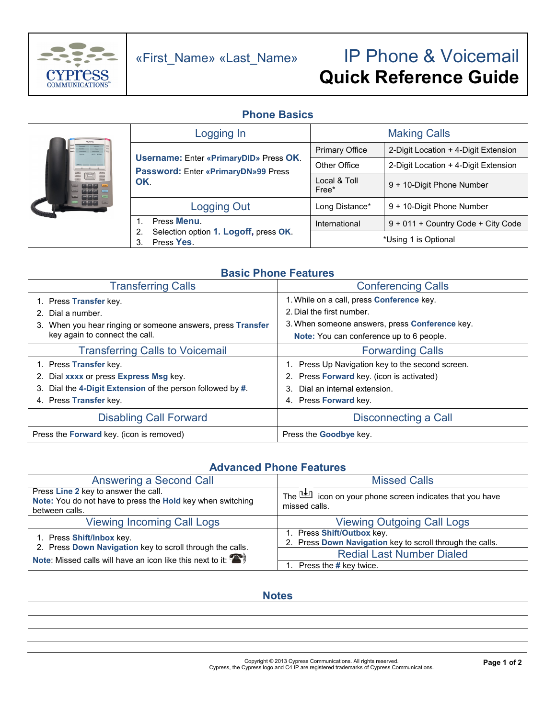

# «First\_Name» «Last\_Name» IP Phone & Voicemail **Quick Reference Guide**

### **Phone Basics**



### **Basic Phone Features**

| <b>Transferring Calls</b>                                     | <b>Conferencing Calls</b>                             |  |
|---------------------------------------------------------------|-------------------------------------------------------|--|
| 1. Press Transfer key.                                        | 1. While on a call, press Conference key.             |  |
| Dial a number.                                                | 2. Dial the first number.                             |  |
| When you hear ringing or someone answers, press Transfer      | 3. When someone answers, press <b>Conference</b> key. |  |
| key again to connect the call.                                | Note: You can conference up to 6 people.              |  |
| <b>Transferring Calls to Voicemail</b>                        | <b>Forwarding Calls</b>                               |  |
| 1. Press <b>Transfer</b> key.                                 | 1. Press Up Navigation key to the second screen.      |  |
| 2. Dial xxxx or press Express Msg key.                        | 2. Press Forward key. (icon is activated)             |  |
| Dial the 4-Digit Extension of the person followed by #.<br>3. | Dial an internal extension.<br>3.                     |  |
| 4. Press Transfer key.                                        | 4. Press <b>Forward</b> key.                          |  |
| <b>Disabling Call Forward</b>                                 | Disconnecting a Call                                  |  |
| Press the <b>Forward</b> key. (icon is removed)               | Press the <b>Goodbye</b> key.                         |  |

### **Advanced Phone Features**

| Answering a Second Call                                                                                                 | <b>Missed Calls</b>                                                                     |  |
|-------------------------------------------------------------------------------------------------------------------------|-----------------------------------------------------------------------------------------|--|
| Press Line 2 key to answer the call.<br>Note: You do not have to press the Hold key when switching<br>between calls.    | The $\mathbb{H}$ icon on your phone screen indicates that you have<br>missed calls.     |  |
| <b>Viewing Incoming Call Logs</b>                                                                                       | <b>Viewing Outgoing Call Logs</b>                                                       |  |
| 1. Press Shift/Inbox key.                                                                                               | 1. Press Shift/Outbox key.<br>2. Press Down Navigation key to scroll through the calls. |  |
| 2. Press Down Navigation key to scroll through the calls.<br>Note: Missed calls will have an icon like this next to it: | <b>Redial Last Number Dialed</b>                                                        |  |
|                                                                                                                         | Press the # key twice.                                                                  |  |

### **Notes**